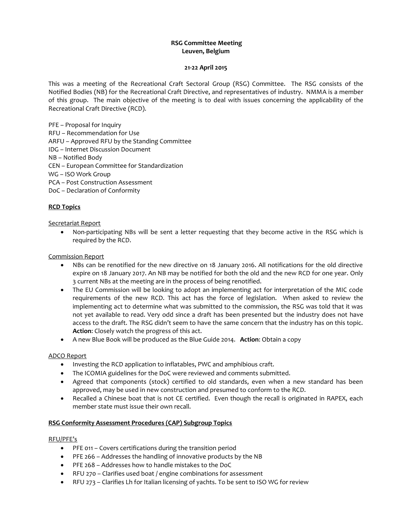# **RSG Committee Meeting Leuven, Belgium**

#### **21-22 April 2015**

This was a meeting of the Recreational Craft Sectoral Group (RSG) Committee. The RSG consists of the Notified Bodies (NB) for the Recreational Craft Directive, and representatives of industry. NMMA is a member of this group. The main objective of the meeting is to deal with issues concerning the applicability of the Recreational Craft Directive (RCD).

PFE – Proposal for Inquiry

- RFU Recommendation for Use
- ARFU Approved RFU by the Standing Committee
- IDG Internet Discussion Document

NB – Notified Body

CEN – European Committee for Standardization

WG – ISO Work Group

PCA – Post Construction Assessment

DoC – Declaration of Conformity

# **RCD Topics**

Secretariat Report

 Non-participating NBs will be sent a letter requesting that they become active in the RSG which is required by the RCD.

#### Commission Report

- NBs can be renotified for the new directive on 18 January 2016. All notifications for the old directive expire on 18 January 2017. An NB may be notified for both the old and the new RCD for one year. Only 3 current NBs at the meeting are in the process of being renotified.
- The EU Commission will be looking to adopt an implementing act for interpretation of the MIC code requirements of the new RCD. This act has the force of legislation. When asked to review the implementing act to determine what was submitted to the commission, the RSG was told that it was not yet available to read. Very odd since a draft has been presented but the industry does not have access to the draft. The RSG didn't seem to have the same concern that the industry has on this topic. **Action**: Closely watch the progress of this act.
- A new Blue Book will be produced as the Blue Guide 2014. **Action**: Obtain a copy

### ADCO Report

- Investing the RCD application to inflatables, PWC and amphibious craft.
- The ICOMIA guidelines for the DoC were reviewed and comments submitted.
- Agreed that components (stock) certified to old standards, even when a new standard has been approved, may be used in new construction and presumed to conform to the RCD.
- Recalled a Chinese boat that is not CE certified. Even though the recall is originated in RAPEX, each member state must issue their own recall.

### **RSG Conformity Assessment Procedures (CAP) Subgroup Topics**

#### RFU/PFE's

- PFE 011 Covers certifications during the transition period
- PFE 266 Addresses the handling of innovative products by the NB
- PFE 268 Addresses how to handle mistakes to the DoC
- RFU 270 Clarifies used boat / engine combinations for assessment
- RFU 273 Clarifies Lh for Italian licensing of yachts. To be sent to ISO WG for review